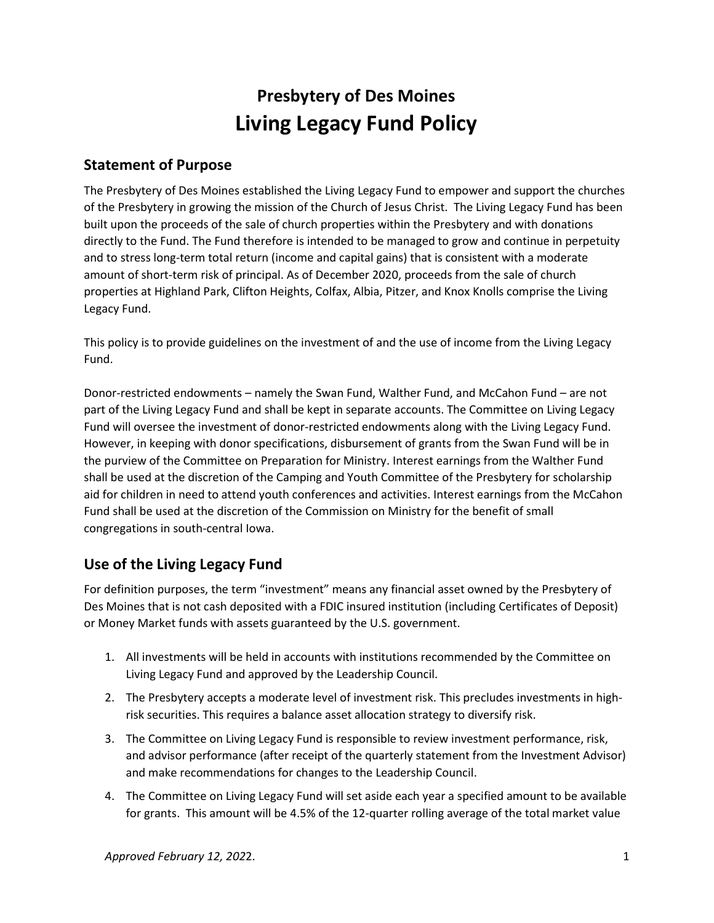# Presbytery of Des Moines Living Legacy Fund Policy

## Statement of Purpose

The Presbytery of Des Moines established the Living Legacy Fund to empower and support the churches of the Presbytery in growing the mission of the Church of Jesus Christ. The Living Legacy Fund has been built upon the proceeds of the sale of church properties within the Presbytery and with donations directly to the Fund. The Fund therefore is intended to be managed to grow and continue in perpetuity and to stress long-term total return (income and capital gains) that is consistent with a moderate amount of short-term risk of principal. As of December 2020, proceeds from the sale of church properties at Highland Park, Clifton Heights, Colfax, Albia, Pitzer, and Knox Knolls comprise the Living Legacy Fund.

This policy is to provide guidelines on the investment of and the use of income from the Living Legacy Fund.

Donor-restricted endowments – namely the Swan Fund, Walther Fund, and McCahon Fund – are not part of the Living Legacy Fund and shall be kept in separate accounts. The Committee on Living Legacy Fund will oversee the investment of donor-restricted endowments along with the Living Legacy Fund. However, in keeping with donor specifications, disbursement of grants from the Swan Fund will be in the purview of the Committee on Preparation for Ministry. Interest earnings from the Walther Fund shall be used at the discretion of the Camping and Youth Committee of the Presbytery for scholarship aid for children in need to attend youth conferences and activities. Interest earnings from the McCahon Fund shall be used at the discretion of the Commission on Ministry for the benefit of small congregations in south-central Iowa.

# Use of the Living Legacy Fund

For definition purposes, the term "investment" means any financial asset owned by the Presbytery of Des Moines that is not cash deposited with a FDIC insured institution (including Certificates of Deposit) or Money Market funds with assets guaranteed by the U.S. government.

- 1. All investments will be held in accounts with institutions recommended by the Committee on Living Legacy Fund and approved by the Leadership Council.
- 2. The Presbytery accepts a moderate level of investment risk. This precludes investments in highrisk securities. This requires a balance asset allocation strategy to diversify risk.
- 3. The Committee on Living Legacy Fund is responsible to review investment performance, risk, and advisor performance (after receipt of the quarterly statement from the Investment Advisor) and make recommendations for changes to the Leadership Council.
- 4. The Committee on Living Legacy Fund will set aside each year a specified amount to be available for grants. This amount will be 4.5% of the 12-quarter rolling average of the total market value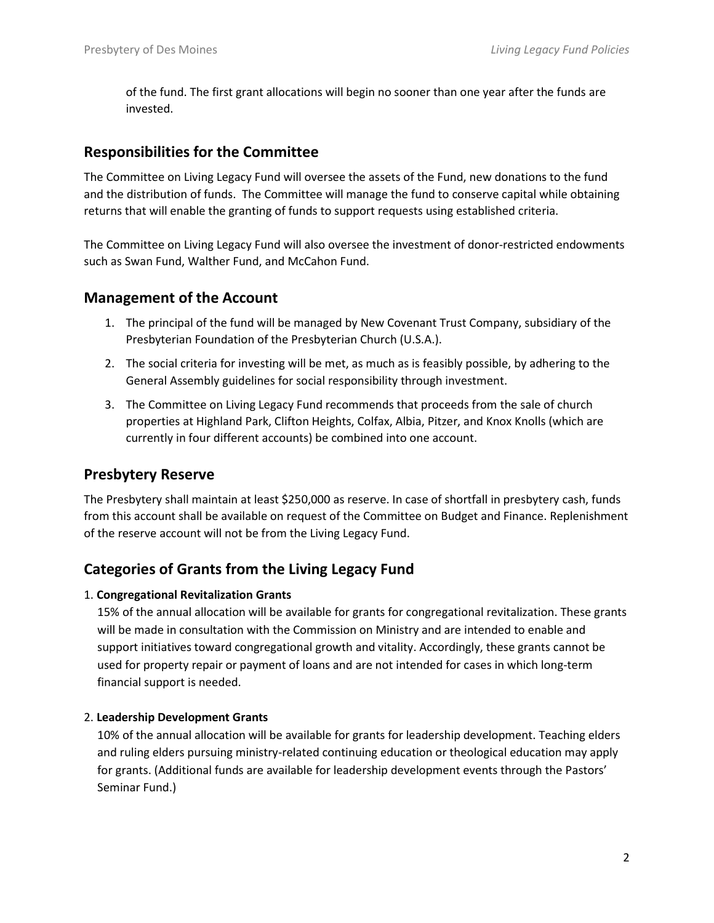of the fund. The first grant allocations will begin no sooner than one year after the funds are invested.

## Responsibilities for the Committee

The Committee on Living Legacy Fund will oversee the assets of the Fund, new donations to the fund and the distribution of funds. The Committee will manage the fund to conserve capital while obtaining returns that will enable the granting of funds to support requests using established criteria.

The Committee on Living Legacy Fund will also oversee the investment of donor-restricted endowments such as Swan Fund, Walther Fund, and McCahon Fund.

## Management of the Account

- 1. The principal of the fund will be managed by New Covenant Trust Company, subsidiary of the Presbyterian Foundation of the Presbyterian Church (U.S.A.).
- 2. The social criteria for investing will be met, as much as is feasibly possible, by adhering to the General Assembly guidelines for social responsibility through investment.
- 3. The Committee on Living Legacy Fund recommends that proceeds from the sale of church properties at Highland Park, Clifton Heights, Colfax, Albia, Pitzer, and Knox Knolls (which are currently in four different accounts) be combined into one account.

## Presbytery Reserve

The Presbytery shall maintain at least \$250,000 as reserve. In case of shortfall in presbytery cash, funds from this account shall be available on request of the Committee on Budget and Finance. Replenishment of the reserve account will not be from the Living Legacy Fund.

## Categories of Grants from the Living Legacy Fund

#### 1. Congregational Revitalization Grants

15% of the annual allocation will be available for grants for congregational revitalization. These grants will be made in consultation with the Commission on Ministry and are intended to enable and support initiatives toward congregational growth and vitality. Accordingly, these grants cannot be used for property repair or payment of loans and are not intended for cases in which long-term financial support is needed.

#### 2. Leadership Development Grants

10% of the annual allocation will be available for grants for leadership development. Teaching elders and ruling elders pursuing ministry-related continuing education or theological education may apply for grants. (Additional funds are available for leadership development events through the Pastors' Seminar Fund.)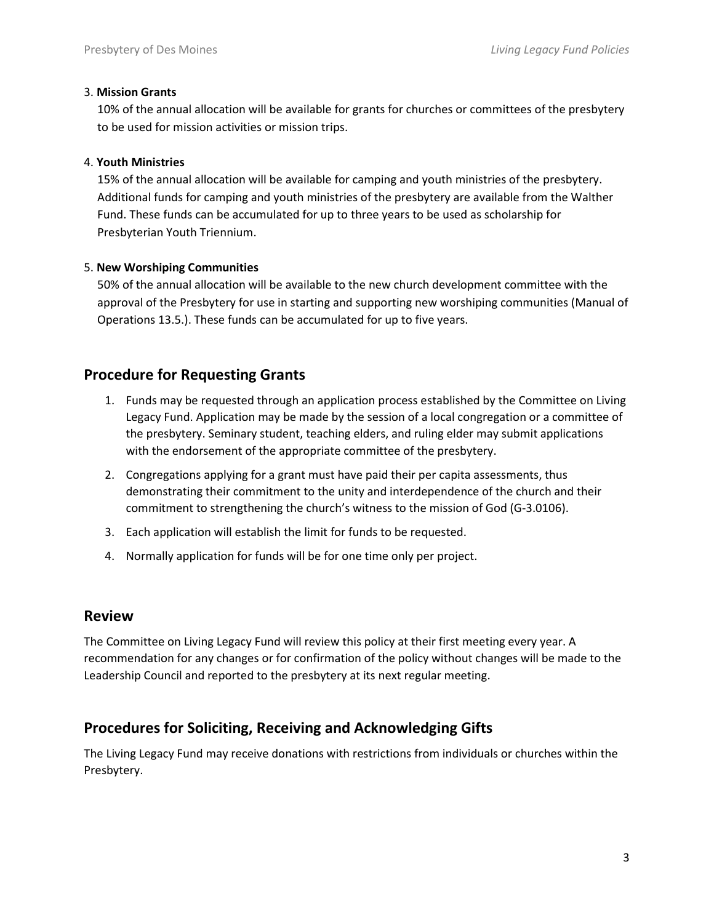#### 3. Mission Grants

10% of the annual allocation will be available for grants for churches or committees of the presbytery to be used for mission activities or mission trips.

#### 4. Youth Ministries

15% of the annual allocation will be available for camping and youth ministries of the presbytery. Additional funds for camping and youth ministries of the presbytery are available from the Walther Fund. These funds can be accumulated for up to three years to be used as scholarship for Presbyterian Youth Triennium.

#### 5. New Worshiping Communities

50% of the annual allocation will be available to the new church development committee with the approval of the Presbytery for use in starting and supporting new worshiping communities (Manual of Operations 13.5.). These funds can be accumulated for up to five years.

# Procedure for Requesting Grants

- 1. Funds may be requested through an application process established by the Committee on Living Legacy Fund. Application may be made by the session of a local congregation or a committee of the presbytery. Seminary student, teaching elders, and ruling elder may submit applications with the endorsement of the appropriate committee of the presbytery.
- 2. Congregations applying for a grant must have paid their per capita assessments, thus demonstrating their commitment to the unity and interdependence of the church and their commitment to strengthening the church's witness to the mission of God (G-3.0106).
- 3. Each application will establish the limit for funds to be requested.
- 4. Normally application for funds will be for one time only per project.

### Review

The Committee on Living Legacy Fund will review this policy at their first meeting every year. A recommendation for any changes or for confirmation of the policy without changes will be made to the Leadership Council and reported to the presbytery at its next regular meeting.

# Procedures for Soliciting, Receiving and Acknowledging Gifts

The Living Legacy Fund may receive donations with restrictions from individuals or churches within the Presbytery.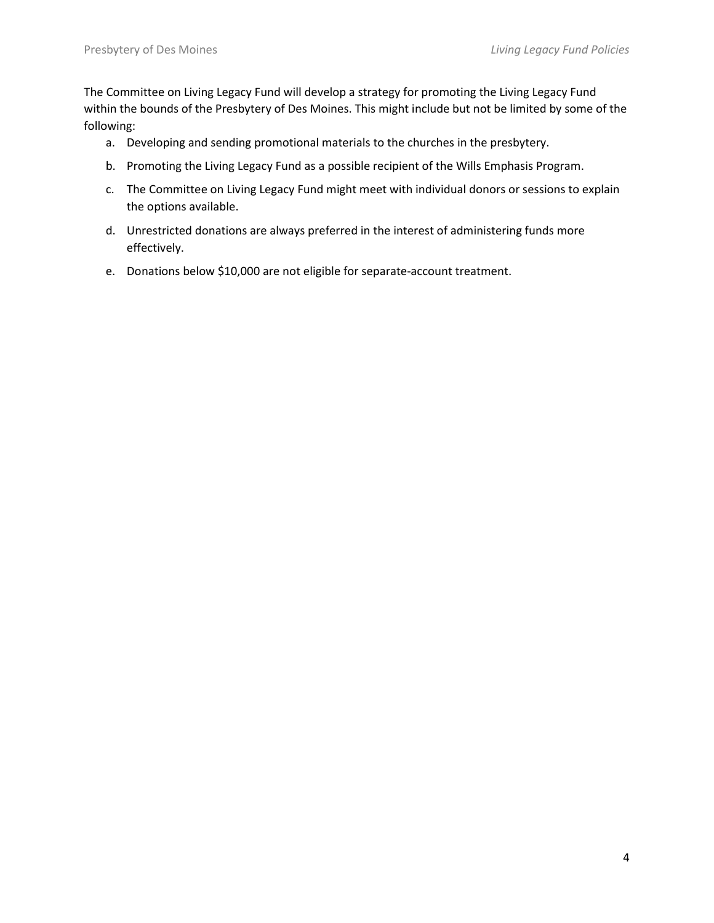The Committee on Living Legacy Fund will develop a strategy for promoting the Living Legacy Fund within the bounds of the Presbytery of Des Moines. This might include but not be limited by some of the following:

- a. Developing and sending promotional materials to the churches in the presbytery.
- b. Promoting the Living Legacy Fund as a possible recipient of the Wills Emphasis Program.
- c. The Committee on Living Legacy Fund might meet with individual donors or sessions to explain the options available.
- d. Unrestricted donations are always preferred in the interest of administering funds more effectively.
- e. Donations below \$10,000 are not eligible for separate-account treatment.